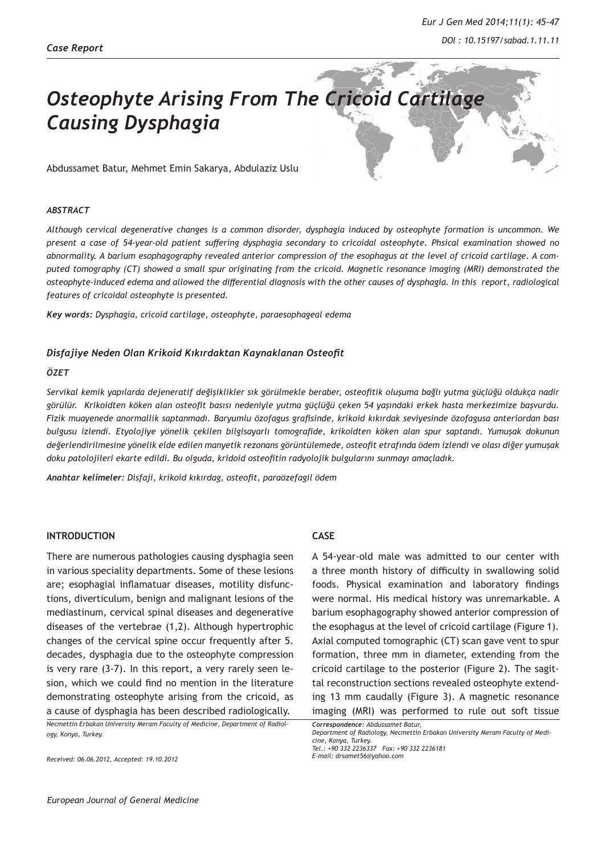

#### *ABSTRACT*

*Although cervical degenerative changes is a common disorder, dysphagia induced by osteophyte formation is uncommon. We present a case of 54-year-old patient suffering dysphagia secondary to cricoidal osteophyte. Phsical examination showed no abnormality. A barium esophagography revealed anterior compression of the esophagus at the level of cricoid cartilage. A computed tomography (CT) showed a small spur originating from the cricoid. Magnetic resonance imaging (MRI) demonstrated the osteophyte-induced edema and allowed the differential diagnosis with the other causes of dysphagia. In this report, radiological features of cricoidal osteophyte is presented.*

*Key words: Dysphagia, cricoid cartilage, osteophyte, paraesophageal edema*

## *Disfajiye Neden Olan Krikoid Kıkırdaktan Kaynaklanan Osteofit*

# *ÖZET*

*Servikal kemik yapılarda dejeneratif değişiklikler sık görülmekle beraber, osteofitik oluşuma bağlı yutma güçlüğü oldukça nadir görülür. Krikoidten köken alan osteofit basısı nedeniyle yutma güçlüğü çeken 54 yaşındaki erkek hasta merkezimize başvurdu. Fizik muayenede anormallik saptanmadı. Baryumlu özofagus grafisinde, krikoid kıkırdak seviyesinde özofagusa anteriordan bası bulgusu izlendi. Etyolojiye yönelik çekilen bilgisayarlı tomografide, krikoidten köken alan spur saptandı. Yumuşak dokunun değerlendirilmesine yönelik elde edilen manyetik rezonans görüntülemede, osteofit etrafında ödem izlendi ve olası diğer yumuşak doku patolojileri ekarte edildi. Bu olguda, kridoid osteofitin radyolojik bulgularını sunmayı amaçladık.*

*Anahtar kelimeler: Disfaji, krikoid kıkırdag, osteofit, paraözefagil ödem* 

## **INTRODUCTION**

There are numerous pathologies causing dysphagia seen in various speciality departments. Some of these lesions are; esophagial inflamatuar diseases, motility disfunctions, diverticulum, benign and malignant lesions of the mediastinum, cervical spinal diseases and degenerative diseases of the vertebrae (1,2). Although hypertrophic changes of the cervical spine occur frequently after 5. decades, dysphagia due to the osteophyte compression is very rare (3-7). In this report, a very rarely seen lesion, which we could find no mention in the literature demonstrating osteophyte arising from the cricoid, as a cause of dysphagia has been described radiologically.

*Necmettin Erbakan University Meram Faculty of Medicine, Department of Radiology, Konya, Turkey.* 

*Received: 06.06.2012, Accepted: 19.10.2012*

## **CASE**

A 54-year-old male was admitted to our center with a three month history of difficulty in swallowing solid foods. Physical examination and laboratory findings were normal. His medical history was unremarkable. A barium esophagography showed anterior compression of the esophagus at the level of cricoid cartilage (Figure 1). Axial computed tomographic (CT) scan gave vent to spur formation, three mm in diameter, extending from the cricoid cartilage to the posterior (Figure 2). The sagittal reconstruction sections revealed osteophyte extending 13 mm caudally (Figure 3). A magnetic resonance imaging (MRI) was performed to rule out soft tissue

*Correspondence: Abdussamet Batur,* 

*Department of Radiology, Necmettin Erbakan University Meram Faculty of Medicine, Konya, Turkey. Tel.: +90 332 2236337 Fax: +90 332 2236181* 

*E-mail: drsamet56@yahoo.com*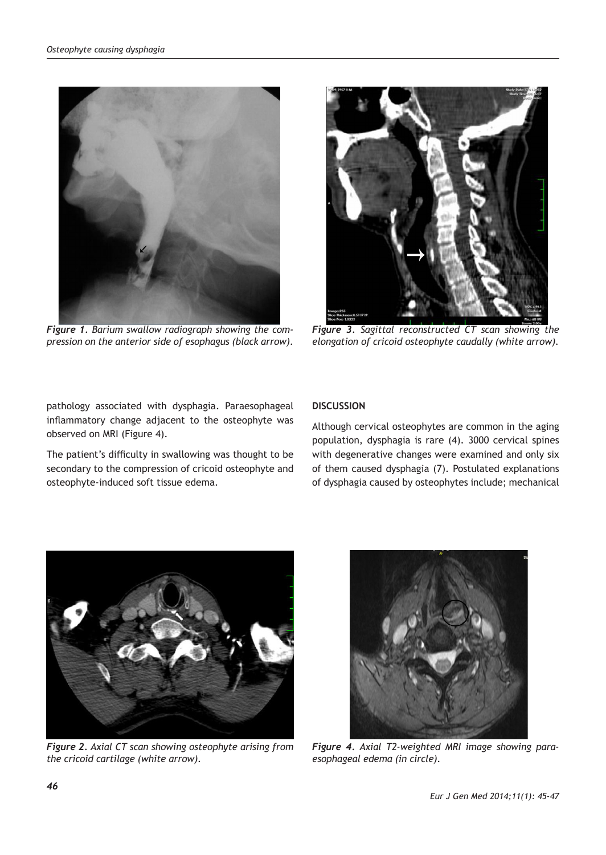

*Figure 1. Barium swallow radiograph showing the compression on the anterior side of esophagus (black arrow).* 



*Figure 3. Sagittal reconstructed CT scan showing the elongation of cricoid osteophyte caudally (white arrow).*

pathology associated with dysphagia. Paraesophageal inflammatory change adjacent to the osteophyte was observed on MRI (Figure 4).

The patient's difficulty in swallowing was thought to be secondary to the compression of cricoid osteophyte and osteophyte-induced soft tissue edema.

# **DISCUSSION**

Although cervical osteophytes are common in the aging population, dysphagia is rare (4). 3000 cervical spines with degenerative changes were examined and only six of them caused dysphagia (7). Postulated explanations of dysphagia caused by osteophytes include; mechanical



*Figure 2. Axial CT scan showing osteophyte arising from the cricoid cartilage (white arrow).*



*Figure 4. Axial T2-weighted MRI image showing paraesophageal edema (in circle).*